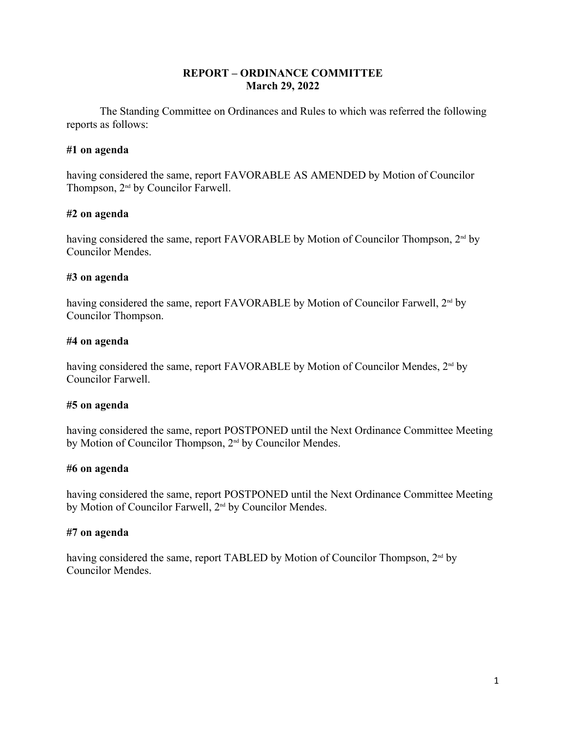# **REPORT – ORDINANCE COMMITTEE March 29, 2022**

The Standing Committee on Ordinances and Rules to which was referred the following reports as follows:

# **#1 on agenda**

having considered the same, report FAVORABLE AS AMENDED by Motion of Councilor Thompson,  $2<sup>nd</sup>$  by Councilor Farwell.

# **#2 on agenda**

having considered the same, report FAVORABLE by Motion of Councilor Thompson, 2<sup>nd</sup> by Councilor Mendes.

# **#3 on agenda**

having considered the same, report FAVORABLE by Motion of Councilor Farwell, 2<sup>nd</sup> by Councilor Thompson.

# **#4 on agenda**

having considered the same, report FAVORABLE by Motion of Councilor Mendes, 2<sup>nd</sup> by Councilor Farwell.

## **#5 on agenda**

having considered the same, report POSTPONED until the Next Ordinance Committee Meeting by Motion of Councilor Thompson, 2<sup>nd</sup> by Councilor Mendes.

## **#6 on agenda**

having considered the same, report POSTPONED until the Next Ordinance Committee Meeting by Motion of Councilor Farwell, 2<sup>nd</sup> by Councilor Mendes.

# **#7 on agenda**

having considered the same, report TABLED by Motion of Councilor Thompson, 2<sup>nd</sup> by Councilor Mendes.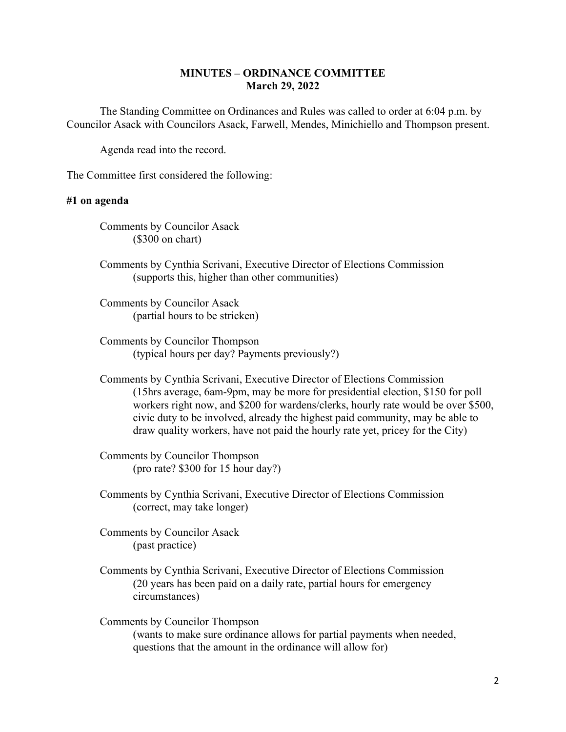## **MINUTES – ORDINANCE COMMITTEE March 29, 2022**

The Standing Committee on Ordinances and Rules was called to order at 6:04 p.m. by Councilor Asack with Councilors Asack, Farwell, Mendes, Minichiello and Thompson present.

Agenda read into the record.

The Committee first considered the following:

### **#1 on agenda**

Comments by Councilor Asack (\$300 on chart)

Comments by Cynthia Scrivani, Executive Director of Elections Commission (supports this, higher than other communities)

Comments by Councilor Asack (partial hours to be stricken)

- Comments by Councilor Thompson (typical hours per day? Payments previously?)
- Comments by Cynthia Scrivani, Executive Director of Elections Commission (15hrs average, 6am-9pm, may be more for presidential election, \$150 for poll workers right now, and \$200 for wardens/clerks, hourly rate would be over \$500, civic duty to be involved, already the highest paid community, may be able to draw quality workers, have not paid the hourly rate yet, pricey for the City)

Comments by Councilor Thompson (pro rate? \$300 for 15 hour day?)

Comments by Cynthia Scrivani, Executive Director of Elections Commission (correct, may take longer)

Comments by Councilor Asack (past practice)

Comments by Cynthia Scrivani, Executive Director of Elections Commission (20 years has been paid on a daily rate, partial hours for emergency circumstances)

Comments by Councilor Thompson (wants to make sure ordinance allows for partial payments when needed, questions that the amount in the ordinance will allow for)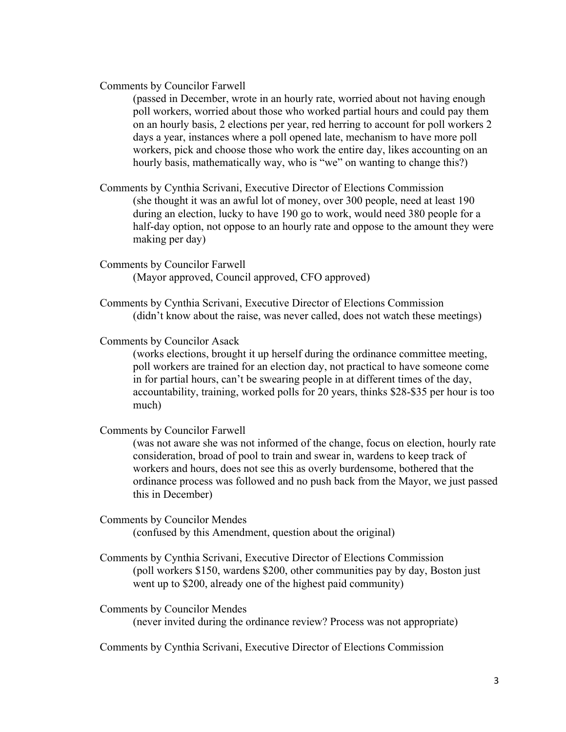#### Comments by Councilor Farwell

(passed in December, wrote in an hourly rate, worried about not having enough poll workers, worried about those who worked partial hours and could pay them on an hourly basis, 2 elections per year, red herring to account for poll workers 2 days a year, instances where a poll opened late, mechanism to have more poll workers, pick and choose those who work the entire day, likes accounting on an hourly basis, mathematically way, who is "we" on wanting to change this?)

- Comments by Cynthia Scrivani, Executive Director of Elections Commission (she thought it was an awful lot of money, over 300 people, need at least 190 during an election, lucky to have 190 go to work, would need 380 people for a half-day option, not oppose to an hourly rate and oppose to the amount they were making per day)
- Comments by Councilor Farwell (Mayor approved, Council approved, CFO approved)
- Comments by Cynthia Scrivani, Executive Director of Elections Commission (didn't know about the raise, was never called, does not watch these meetings)

# Comments by Councilor Asack

(works elections, brought it up herself during the ordinance committee meeting, poll workers are trained for an election day, not practical to have someone come in for partial hours, can't be swearing people in at different times of the day, accountability, training, worked polls for 20 years, thinks \$28-\$35 per hour is too much)

Comments by Councilor Farwell

(was not aware she was not informed of the change, focus on election, hourly rate consideration, broad of pool to train and swear in, wardens to keep track of workers and hours, does not see this as overly burdensome, bothered that the ordinance process was followed and no push back from the Mayor, we just passed this in December)

- Comments by Councilor Mendes (confused by this Amendment, question about the original)
- Comments by Cynthia Scrivani, Executive Director of Elections Commission (poll workers \$150, wardens \$200, other communities pay by day, Boston just went up to \$200, already one of the highest paid community)

Comments by Councilor Mendes (never invited during the ordinance review? Process was not appropriate)

Comments by Cynthia Scrivani, Executive Director of Elections Commission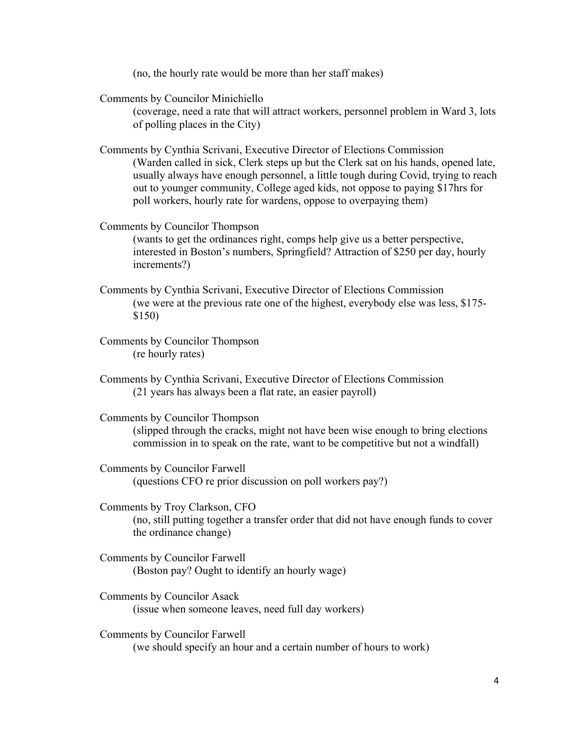(no, the hourly rate would be more than her staff makes)

Comments by Councilor Minichiello

(coverage, need a rate that will attract workers, personnel problem in Ward 3, lots of polling places in the City)

Comments by Cynthia Scrivani, Executive Director of Elections Commission (Warden called in sick, Clerk steps up but the Clerk sat on his hands, opened late, usually always have enough personnel, a little tough during Covid, trying to reach out to younger community, College aged kids, not oppose to paying \$17hrs for poll workers, hourly rate for wardens, oppose to overpaying them)

Comments by Councilor Thompson

(wants to get the ordinances right, comps help give us a better perspective, interested in Boston's numbers, Springfield? Attraction of \$250 per day, hourly increments?)

- Comments by Cynthia Scrivani, Executive Director of Elections Commission (we were at the previous rate one of the highest, everybody else was less, \$175- \$150)
- Comments by Councilor Thompson (re hourly rates)
- Comments by Cynthia Scrivani, Executive Director of Elections Commission (21 years has always been a flat rate, an easier payroll)

Comments by Councilor Thompson (slipped through the cracks, might not have been wise enough to bring elections commission in to speak on the rate, want to be competitive but not a windfall)

Comments by Councilor Farwell (questions CFO re prior discussion on poll workers pay?)

Comments by Troy Clarkson, CFO (no, still putting together a transfer order that did not have enough funds to cover the ordinance change)

- Comments by Councilor Farwell (Boston pay? Ought to identify an hourly wage)
- Comments by Councilor Asack (issue when someone leaves, need full day workers)

Comments by Councilor Farwell (we should specify an hour and a certain number of hours to work)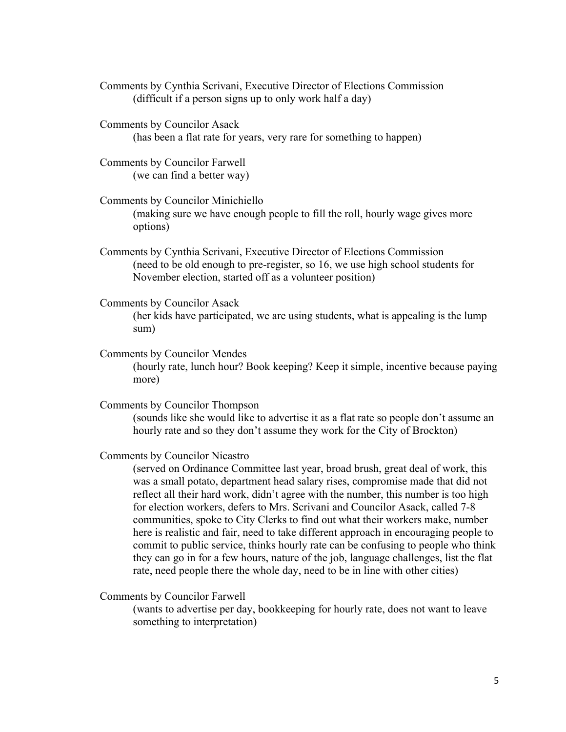- Comments by Cynthia Scrivani, Executive Director of Elections Commission (difficult if a person signs up to only work half a day)
- Comments by Councilor Asack (has been a flat rate for years, very rare for something to happen)
- Comments by Councilor Farwell (we can find a better way)
- Comments by Councilor Minichiello (making sure we have enough people to fill the roll, hourly wage gives more options)
- Comments by Cynthia Scrivani, Executive Director of Elections Commission (need to be old enough to pre-register, so 16, we use high school students for November election, started off as a volunteer position)
- Comments by Councilor Asack
	- (her kids have participated, we are using students, what is appealing is the lump sum)
- Comments by Councilor Mendes

(hourly rate, lunch hour? Book keeping? Keep it simple, incentive because paying more)

Comments by Councilor Thompson

(sounds like she would like to advertise it as a flat rate so people don't assume an hourly rate and so they don't assume they work for the City of Brockton)

Comments by Councilor Nicastro

(served on Ordinance Committee last year, broad brush, great deal of work, this was a small potato, department head salary rises, compromise made that did not reflect all their hard work, didn't agree with the number, this number is too high for election workers, defers to Mrs. Scrivani and Councilor Asack, called 7-8 communities, spoke to City Clerks to find out what their workers make, number here is realistic and fair, need to take different approach in encouraging people to commit to public service, thinks hourly rate can be confusing to people who think they can go in for a few hours, nature of the job, language challenges, list the flat rate, need people there the whole day, need to be in line with other cities)

Comments by Councilor Farwell

(wants to advertise per day, bookkeeping for hourly rate, does not want to leave something to interpretation)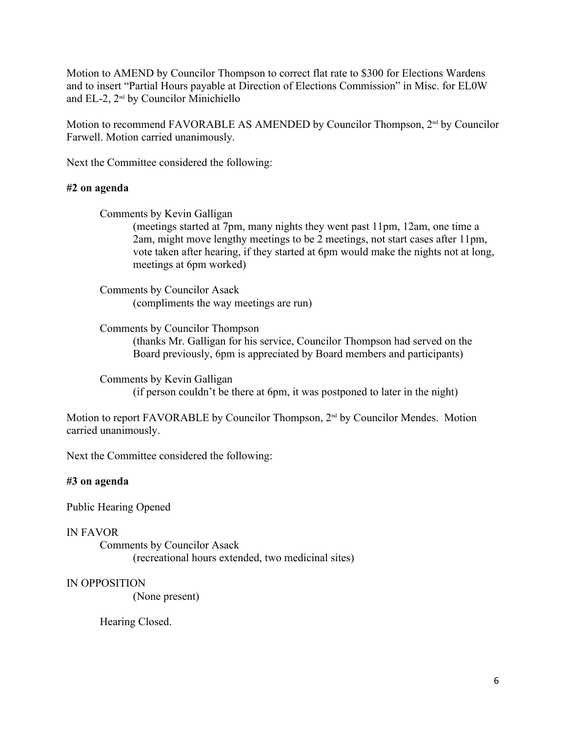Motion to AMEND by Councilor Thompson to correct flat rate to \$300 for Elections Wardens and to insert "Partial Hours payable at Direction of Elections Commission" in Misc. for EL0W and EL-2, 2nd by Councilor Minichiello

Motion to recommend FAVORABLE AS AMENDED by Councilor Thompson,  $2<sup>nd</sup>$  by Councilor Farwell. Motion carried unanimously.

Next the Committee considered the following:

### **#2 on agenda**

Comments by Kevin Galligan

(meetings started at 7pm, many nights they went past 11pm, 12am, one time a 2am, might move lengthy meetings to be 2 meetings, not start cases after 11pm, vote taken after hearing, if they started at 6pm would make the nights not at long, meetings at 6pm worked)

Comments by Councilor Asack (compliments the way meetings are run)

Comments by Councilor Thompson

(thanks Mr. Galligan for his service, Councilor Thompson had served on the Board previously, 6pm is appreciated by Board members and participants)

Comments by Kevin Galligan (if person couldn't be there at 6pm, it was postponed to later in the night)

Motion to report FAVORABLE by Councilor Thompson, 2<sup>nd</sup> by Councilor Mendes. Motion carried unanimously.

Next the Committee considered the following:

## **#3 on agenda**

Public Hearing Opened

#### IN FAVOR

Comments by Councilor Asack (recreational hours extended, two medicinal sites)

#### IN OPPOSITION

(None present)

Hearing Closed.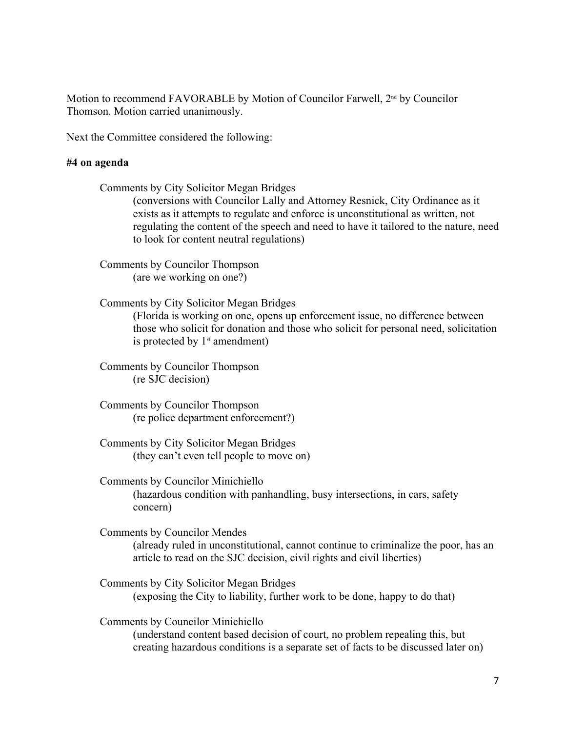Motion to recommend FAVORABLE by Motion of Councilor Farwell,  $2<sup>nd</sup>$  by Councilor Thomson. Motion carried unanimously.

Next the Committee considered the following:

### **#4 on agenda**

Comments by City Solicitor Megan Bridges (conversions with Councilor Lally and Attorney Resnick, City Ordinance as it exists as it attempts to regulate and enforce is unconstitutional as written, not regulating the content of the speech and need to have it tailored to the nature, need to look for content neutral regulations)

Comments by Councilor Thompson (are we working on one?)

Comments by City Solicitor Megan Bridges

(Florida is working on one, opens up enforcement issue, no difference between those who solicit for donation and those who solicit for personal need, solicitation is protected by  $1<sup>st</sup>$  amendment)

Comments by Councilor Thompson (re SJC decision)

Comments by Councilor Thompson (re police department enforcement?)

Comments by City Solicitor Megan Bridges (they can't even tell people to move on)

Comments by Councilor Minichiello (hazardous condition with panhandling, busy intersections, in cars, safety concern)

Comments by Councilor Mendes (already ruled in unconstitutional, cannot continue to criminalize the poor, has an article to read on the SJC decision, civil rights and civil liberties)

Comments by City Solicitor Megan Bridges (exposing the City to liability, further work to be done, happy to do that)

Comments by Councilor Minichiello (understand content based decision of court, no problem repealing this, but creating hazardous conditions is a separate set of facts to be discussed later on)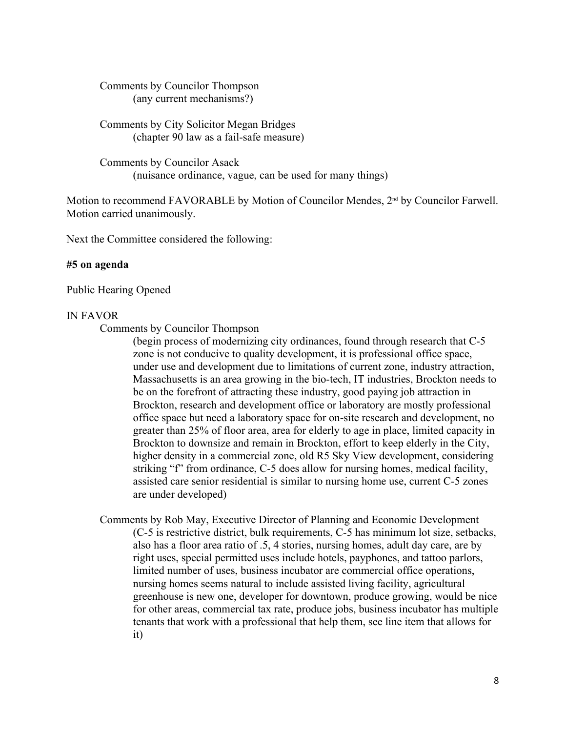Comments by Councilor Thompson (any current mechanisms?)

Comments by City Solicitor Megan Bridges (chapter 90 law as a fail-safe measure)

Comments by Councilor Asack (nuisance ordinance, vague, can be used for many things)

Motion to recommend FAVORABLE by Motion of Councilor Mendes,  $2<sup>nd</sup>$  by Councilor Farwell. Motion carried unanimously.

Next the Committee considered the following:

## **#5 on agenda**

Public Hearing Opened

#### IN FAVOR

Comments by Councilor Thompson

(begin process of modernizing city ordinances, found through research that C-5 zone is not conducive to quality development, it is professional office space, under use and development due to limitations of current zone, industry attraction, Massachusetts is an area growing in the bio-tech, IT industries, Brockton needs to be on the forefront of attracting these industry, good paying job attraction in Brockton, research and development office or laboratory are mostly professional office space but need a laboratory space for on-site research and development, no greater than 25% of floor area, area for elderly to age in place, limited capacity in Brockton to downsize and remain in Brockton, effort to keep elderly in the City, higher density in a commercial zone, old R5 Sky View development, considering striking "f" from ordinance, C-5 does allow for nursing homes, medical facility, assisted care senior residential is similar to nursing home use, current C-5 zones are under developed)

Comments by Rob May, Executive Director of Planning and Economic Development (C-5 is restrictive district, bulk requirements, C-5 has minimum lot size, setbacks, also has a floor area ratio of .5, 4 stories, nursing homes, adult day care, are by right uses, special permitted uses include hotels, payphones, and tattoo parlors, limited number of uses, business incubator are commercial office operations, nursing homes seems natural to include assisted living facility, agricultural greenhouse is new one, developer for downtown, produce growing, would be nice for other areas, commercial tax rate, produce jobs, business incubator has multiple tenants that work with a professional that help them, see line item that allows for it)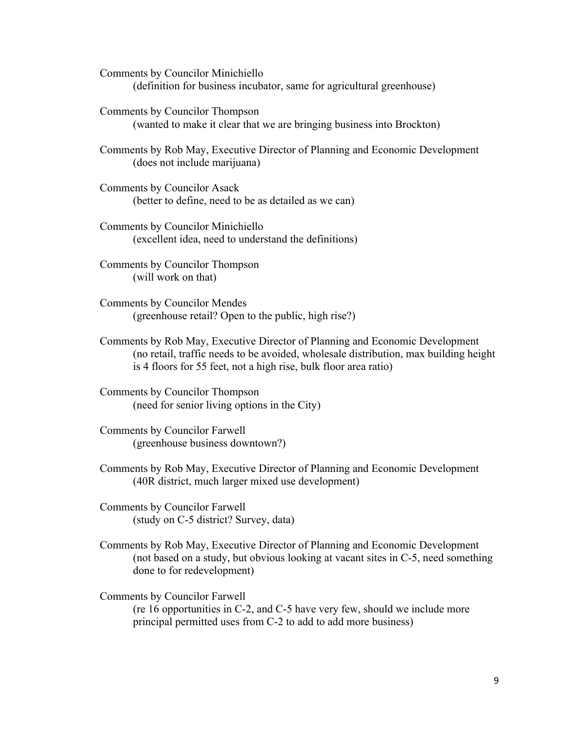Comments by Councilor Minichiello (definition for business incubator, same for agricultural greenhouse)

Comments by Councilor Thompson (wanted to make it clear that we are bringing business into Brockton)

Comments by Rob May, Executive Director of Planning and Economic Development (does not include marijuana)

- Comments by Councilor Asack (better to define, need to be as detailed as we can)
- Comments by Councilor Minichiello (excellent idea, need to understand the definitions)

Comments by Councilor Thompson (will work on that)

Comments by Councilor Mendes (greenhouse retail? Open to the public, high rise?)

- Comments by Rob May, Executive Director of Planning and Economic Development (no retail, traffic needs to be avoided, wholesale distribution, max building height is 4 floors for 55 feet, not a high rise, bulk floor area ratio)
- Comments by Councilor Thompson (need for senior living options in the City)
- Comments by Councilor Farwell (greenhouse business downtown?)
- Comments by Rob May, Executive Director of Planning and Economic Development (40R district, much larger mixed use development)
- Comments by Councilor Farwell (study on C-5 district? Survey, data)
- Comments by Rob May, Executive Director of Planning and Economic Development (not based on a study, but obvious looking at vacant sites in C-5, need something done to for redevelopment)

Comments by Councilor Farwell (re 16 opportunities in C-2, and C-5 have very few, should we include more principal permitted uses from C-2 to add to add more business)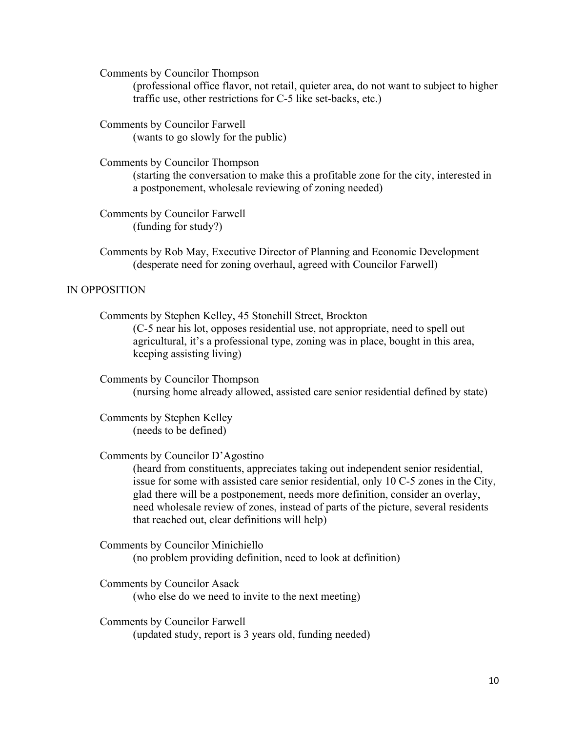Comments by Councilor Thompson

(professional office flavor, not retail, quieter area, do not want to subject to higher traffic use, other restrictions for C-5 like set-backs, etc.)

Comments by Councilor Farwell (wants to go slowly for the public)

Comments by Councilor Thompson

(starting the conversation to make this a profitable zone for the city, interested in a postponement, wholesale reviewing of zoning needed)

Comments by Councilor Farwell (funding for study?)

Comments by Rob May, Executive Director of Planning and Economic Development (desperate need for zoning overhaul, agreed with Councilor Farwell)

## IN OPPOSITION

Comments by Stephen Kelley, 45 Stonehill Street, Brockton (C-5 near his lot, opposes residential use, not appropriate, need to spell out agricultural, it's a professional type, zoning was in place, bought in this area, keeping assisting living)

Comments by Councilor Thompson (nursing home already allowed, assisted care senior residential defined by state)

Comments by Stephen Kelley (needs to be defined)

Comments by Councilor D'Agostino

(heard from constituents, appreciates taking out independent senior residential, issue for some with assisted care senior residential, only 10 C-5 zones in the City, glad there will be a postponement, needs more definition, consider an overlay, need wholesale review of zones, instead of parts of the picture, several residents that reached out, clear definitions will help)

Comments by Councilor Minichiello (no problem providing definition, need to look at definition)

Comments by Councilor Asack (who else do we need to invite to the next meeting)

Comments by Councilor Farwell (updated study, report is 3 years old, funding needed)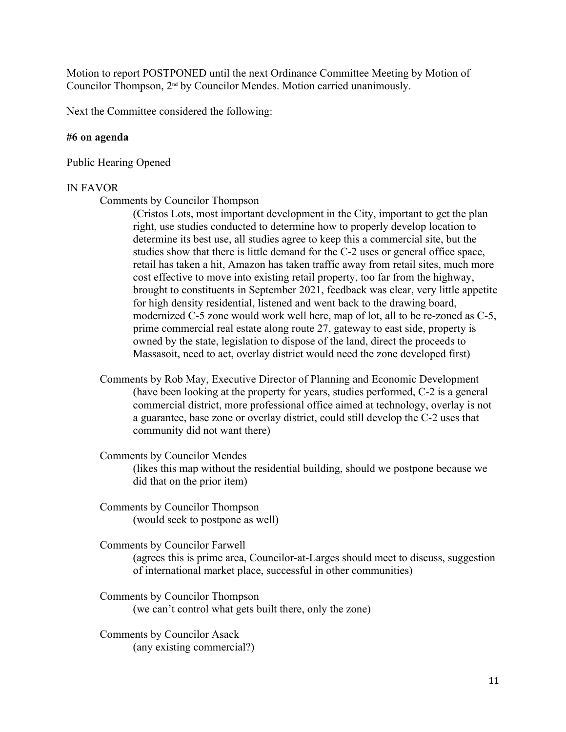Motion to report POSTPONED until the next Ordinance Committee Meeting by Motion of Councilor Thompson, 2nd by Councilor Mendes. Motion carried unanimously.

Next the Committee considered the following:

#### **#6 on agenda**

Public Hearing Opened

### IN FAVOR

Comments by Councilor Thompson

(Cristos Lots, most important development in the City, important to get the plan right, use studies conducted to determine how to properly develop location to determine its best use, all studies agree to keep this a commercial site, but the studies show that there is little demand for the C-2 uses or general office space, retail has taken a hit, Amazon has taken traffic away from retail sites, much more cost effective to move into existing retail property, too far from the highway, brought to constituents in September 2021, feedback was clear, very little appetite for high density residential, listened and went back to the drawing board, modernized C-5 zone would work well here, map of lot, all to be re-zoned as C-5, prime commercial real estate along route 27, gateway to east side, property is owned by the state, legislation to dispose of the land, direct the proceeds to Massasoit, need to act, overlay district would need the zone developed first)

Comments by Rob May, Executive Director of Planning and Economic Development (have been looking at the property for years, studies performed, C-2 is a general commercial district, more professional office aimed at technology, overlay is not a guarantee, base zone or overlay district, could still develop the C-2 uses that community did not want there)

Comments by Councilor Mendes (likes this map without the residential building, should we postpone because we did that on the prior item)

Comments by Councilor Thompson (would seek to postpone as well)

Comments by Councilor Farwell (agrees this is prime area, Councilor-at-Larges should meet to discuss, suggestion of international market place, successful in other communities)

Comments by Councilor Thompson (we can't control what gets built there, only the zone)

Comments by Councilor Asack (any existing commercial?)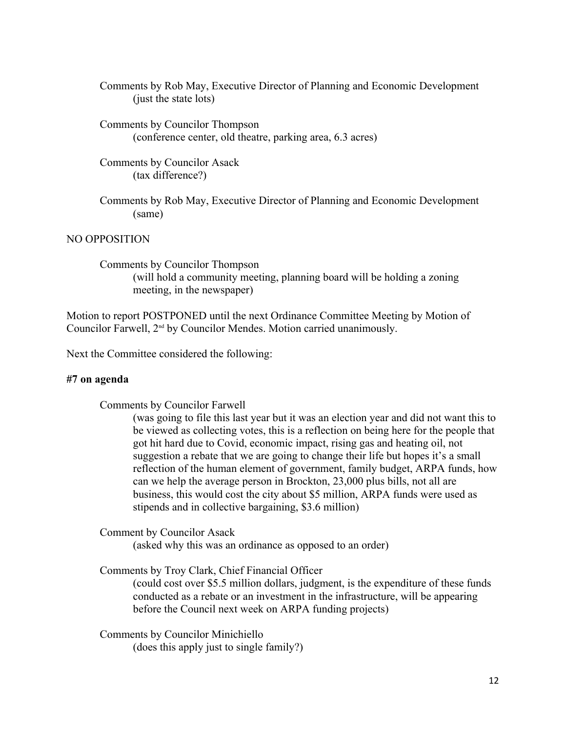Comments by Rob May, Executive Director of Planning and Economic Development (just the state lots)

- Comments by Councilor Thompson (conference center, old theatre, parking area, 6.3 acres)
- Comments by Councilor Asack (tax difference?)
- Comments by Rob May, Executive Director of Planning and Economic Development (same)

## NO OPPOSITION

Comments by Councilor Thompson (will hold a community meeting, planning board will be holding a zoning meeting, in the newspaper)

Motion to report POSTPONED until the next Ordinance Committee Meeting by Motion of Councilor Farwell, 2<sup>nd</sup> by Councilor Mendes. Motion carried unanimously.

Next the Committee considered the following:

#### **#7 on agenda**

Comments by Councilor Farwell

(was going to file this last year but it was an election year and did not want this to be viewed as collecting votes, this is a reflection on being here for the people that got hit hard due to Covid, economic impact, rising gas and heating oil, not suggestion a rebate that we are going to change their life but hopes it's a small reflection of the human element of government, family budget, ARPA funds, how can we help the average person in Brockton, 23,000 plus bills, not all are business, this would cost the city about \$5 million, ARPA funds were used as stipends and in collective bargaining, \$3.6 million)

Comment by Councilor Asack

(asked why this was an ordinance as opposed to an order)

Comments by Troy Clark, Chief Financial Officer

(could cost over \$5.5 million dollars, judgment, is the expenditure of these funds conducted as a rebate or an investment in the infrastructure, will be appearing before the Council next week on ARPA funding projects)

Comments by Councilor Minichiello

(does this apply just to single family?)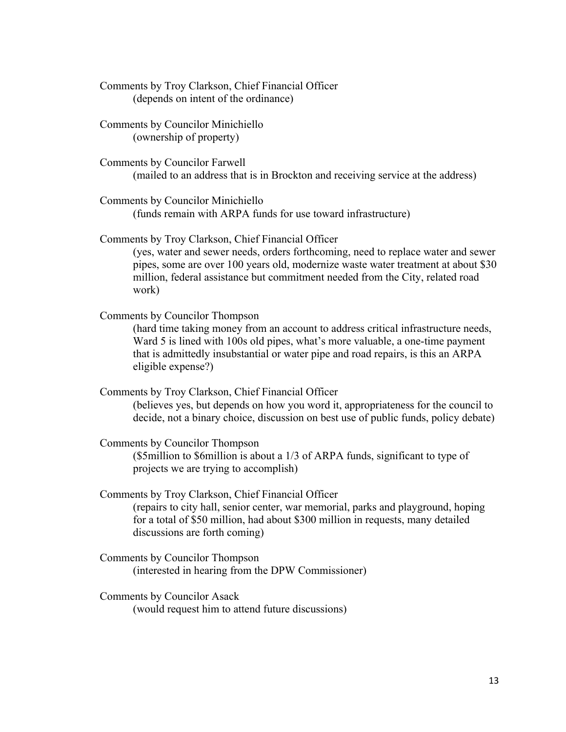Comments by Troy Clarkson, Chief Financial Officer (depends on intent of the ordinance)

Comments by Councilor Minichiello (ownership of property)

Comments by Councilor Farwell (mailed to an address that is in Brockton and receiving service at the address)

Comments by Councilor Minichiello (funds remain with ARPA funds for use toward infrastructure)

Comments by Troy Clarkson, Chief Financial Officer

(yes, water and sewer needs, orders forthcoming, need to replace water and sewer pipes, some are over 100 years old, modernize waste water treatment at about \$30 million, federal assistance but commitment needed from the City, related road work)

Comments by Councilor Thompson

(hard time taking money from an account to address critical infrastructure needs, Ward 5 is lined with 100s old pipes, what's more valuable, a one-time payment that is admittedly insubstantial or water pipe and road repairs, is this an ARPA eligible expense?)

Comments by Troy Clarkson, Chief Financial Officer (believes yes, but depends on how you word it, appropriateness for the council to decide, not a binary choice, discussion on best use of public funds, policy debate)

Comments by Councilor Thompson (\$5million to \$6million is about a 1/3 of ARPA funds, significant to type of projects we are trying to accomplish)

Comments by Troy Clarkson, Chief Financial Officer (repairs to city hall, senior center, war memorial, parks and playground, hoping for a total of \$50 million, had about \$300 million in requests, many detailed discussions are forth coming)

- Comments by Councilor Thompson (interested in hearing from the DPW Commissioner)
- Comments by Councilor Asack (would request him to attend future discussions)